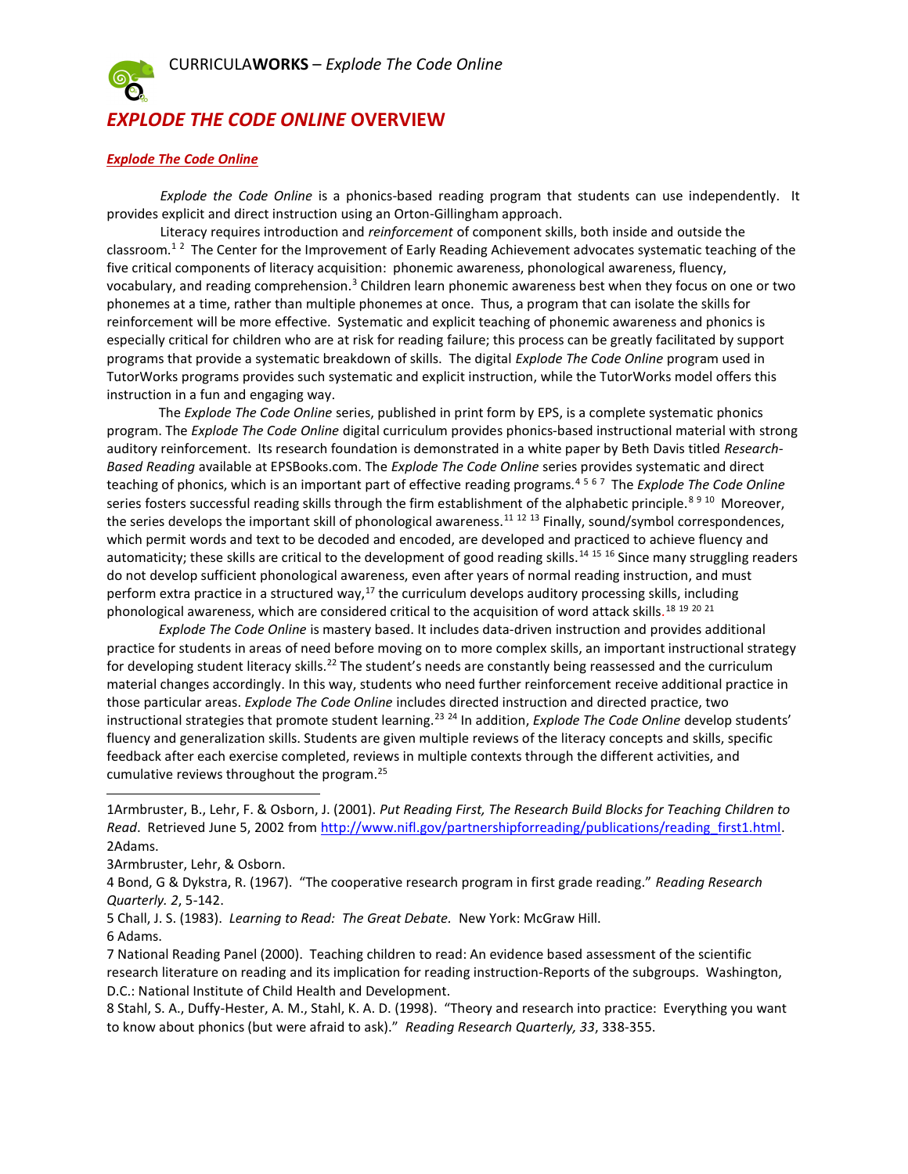

## EXPLODE THE CODE ONLINE OVERVIEW

## Explode The Code Online

Explode the Code Online is a phonics-based reading program that students can use independently. It provides explicit and direct instruction using an Orton-Gillingham approach.

Literacy requires introduction and *reinforcement* of component skills, both inside and outside the classroom.<sup>12</sup> The Center for the Improvement of Early Reading Achievement advocates systematic teaching of the five critical components of literacy acquisition: phonemic awareness, phonological awareness, fluency, vocabulary, and reading comprehension.<sup>3</sup> Children learn phonemic awareness best when they focus on one or two phonemes at a time, rather than multiple phonemes at once. Thus, a program that can isolate the skills for reinforcement will be more effective. Systematic and explicit teaching of phonemic awareness and phonics is especially critical for children who are at risk for reading failure; this process can be greatly facilitated by support programs that provide a systematic breakdown of skills. The digital Explode The Code Online program used in TutorWorks programs provides such systematic and explicit instruction, while the TutorWorks model offers this instruction in a fun and engaging way.

The Explode The Code Online series, published in print form by EPS, is a complete systematic phonics program. The Explode The Code Online digital curriculum provides phonics-based instructional material with strong auditory reinforcement. Its research foundation is demonstrated in a white paper by Beth Davis titled Research-Based Reading available at EPSBooks.com. The Explode The Code Online series provides systematic and direct teaching of phonics, which is an important part of effective reading programs.<sup>4567</sup> The Explode The Code Online series fosters successful reading skills through the firm establishment of the alphabetic principle.<sup>8 9 10</sup> Moreover, the series develops the important skill of phonological awareness.<sup>11 12</sup> <sup>13</sup> Finally, sound/symbol correspondences, which permit words and text to be decoded and encoded, are developed and practiced to achieve fluency and automaticity; these skills are critical to the development of good reading skills.<sup>14 15</sup> 16 Since many struggling readers do not develop sufficient phonological awareness, even after years of normal reading instruction, and must perform extra practice in a structured way, $17$  the curriculum develops auditory processing skills, including phonological awareness, which are considered critical to the acquisition of word attack skills.<sup>18 19 20 21</sup>

Explode The Code Online is mastery based. It includes data-driven instruction and provides additional practice for students in areas of need before moving on to more complex skills, an important instructional strategy for developing student literacy skills.<sup>22</sup> The student's needs are constantly being reassessed and the curriculum material changes accordingly. In this way, students who need further reinforcement receive additional practice in those particular areas. Explode The Code Online includes directed instruction and directed practice, two instructional strategies that promote student learning.<sup>23 24</sup> In addition, Explode The Code Online develop students' fluency and generalization skills. Students are given multiple reviews of the literacy concepts and skills, specific feedback after each exercise completed, reviews in multiple contexts through the different activities, and cumulative reviews throughout the program.<sup>25</sup>

3Armbruster, Lehr, & Osborn.

4 Bond, G & Dykstra, R. (1967). "The cooperative research program in first grade reading." Reading Research Quarterly. 2, 5-142.

5 Chall, J. S. (1983). Learning to Read: The Great Debate. New York: McGraw Hill.

l

7 National Reading Panel (2000). Teaching children to read: An evidence based assessment of the scientific research literature on reading and its implication for reading instruction-Reports of the subgroups. Washington, D.C.: National Institute of Child Health and Development.

8 Stahl, S. A., Duffy-Hester, A. M., Stahl, K. A. D. (1998). "Theory and research into practice: Everything you want to know about phonics (but were afraid to ask)." Reading Research Quarterly, 33, 338-355.

<sup>1</sup>Armbruster, B., Lehr, F. & Osborn, J. (2001). Put Reading First, The Research Build Blocks for Teaching Children to Read. Retrieved June 5, 2002 from http://www.nifl.gov/partnershipforreading/publications/reading\_first1.html. 2Adams.

<sup>6</sup> Adams.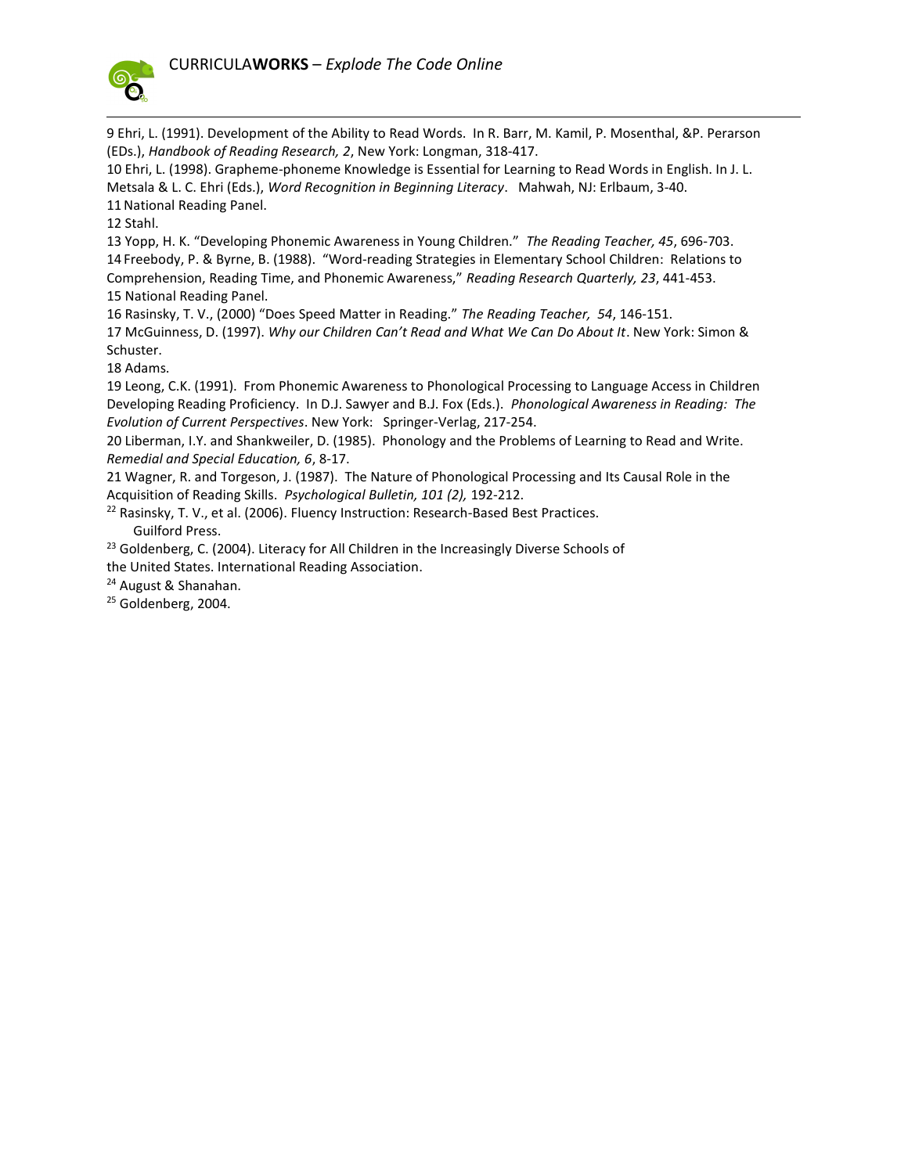

 $\overline{a}$ 

9 Ehri, L. (1991). Development of the Ability to Read Words. In R. Barr, M. Kamil, P. Mosenthal, &P. Perarson (EDs.), Handbook of Reading Research, 2, New York: Longman, 318-417.

10 Ehri, L. (1998). Grapheme-phoneme Knowledge is Essential for Learning to Read Words in English. In J. L. Metsala & L. C. Ehri (Eds.), Word Recognition in Beginning Literacy. Mahwah, NJ: Erlbaum, 3-40. 11National Reading Panel.

12 Stahl.

13 Yopp, H. K. "Developing Phonemic Awareness in Young Children." The Reading Teacher, 45, 696-703. 14 Freebody, P. & Byrne, B. (1988). "Word-reading Strategies in Elementary School Children: Relations to Comprehension, Reading Time, and Phonemic Awareness," Reading Research Quarterly, 23, 441-453. 15 National Reading Panel.

16 Rasinsky, T. V., (2000) "Does Speed Matter in Reading." The Reading Teacher, 54, 146-151.

17 McGuinness, D. (1997). Why our Children Can't Read and What We Can Do About It. New York: Simon & Schuster.

18 Adams.

19 Leong, C.K. (1991). From Phonemic Awareness to Phonological Processing to Language Access in Children Developing Reading Proficiency. In D.J. Sawyer and B.J. Fox (Eds.). Phonological Awareness in Reading: The Evolution of Current Perspectives. New York: Springer-Verlag, 217-254.

20 Liberman, I.Y. and Shankweiler, D. (1985). Phonology and the Problems of Learning to Read and Write. Remedial and Special Education, 6, 8-17.

21 Wagner, R. and Torgeson, J. (1987). The Nature of Phonological Processing and Its Causal Role in the Acquisition of Reading Skills. Psychological Bulletin, 101 (2), 192-212.

<sup>22</sup> Rasinsky, T. V., et al. (2006). Fluency Instruction: Research-Based Best Practices. Guilford Press.

<sup>23</sup> Goldenberg, C. (2004). Literacy for All Children in the Increasingly Diverse Schools of

the United States. International Reading Association.

<sup>24</sup> August & Shanahan.

<sup>25</sup> Goldenberg, 2004.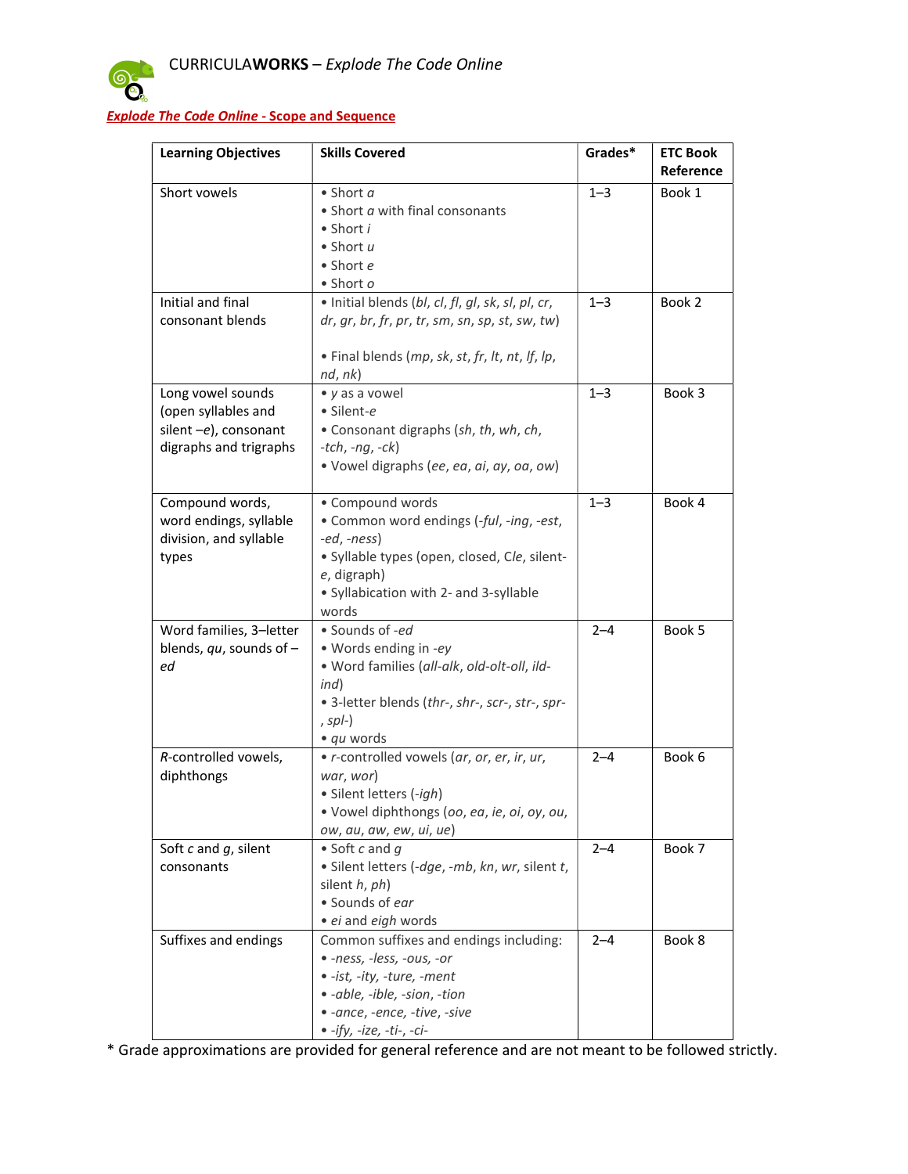

## Explode The Code Online - Scope and Sequence

| <b>Learning Objectives</b>   | <b>Skills Covered</b>                             | Grades* | <b>ETC Book</b> |
|------------------------------|---------------------------------------------------|---------|-----------------|
|                              |                                                   |         | Reference       |
| Short vowels                 | $\bullet$ Short $a$                               | $1 - 3$ | Book 1          |
|                              | • Short a with final consonants                   |         |                 |
|                              | $\bullet$ Short i                                 |         |                 |
|                              | $\bullet$ Short $u$                               |         |                 |
|                              | • Short e                                         |         |                 |
|                              | $\bullet$ Short $o$                               |         |                 |
| Initial and final            | · Initial blends (bl, cl, fl, gl, sk, sl, pl, cr, | $1 - 3$ | Book 2          |
| consonant blends             | $dr, gr, br, fr, pr, tr, sm, sn, sp, st, sw, tw)$ |         |                 |
|                              | . Final blends (mp, sk, st, fr, lt, nt, lf, lp,   |         |                 |
|                              | nd, nk)                                           |         |                 |
| Long vowel sounds            | • y as a vowel                                    | $1 - 3$ | Book 3          |
| (open syllables and          | · Silent-e                                        |         |                 |
| silent $-e$ ), consonant     | • Consonant digraphs (sh, th, wh, ch,             |         |                 |
| digraphs and trigraphs       | $- tch, -nq, -ck$                                 |         |                 |
|                              | · Vowel digraphs (ee, ea, ai, ay, oa, ow)         |         |                 |
|                              |                                                   |         |                 |
| Compound words,              | • Compound words                                  | $1 - 3$ | Book 4          |
| word endings, syllable       | • Common word endings (-ful, -ing, -est,          |         |                 |
| division, and syllable       | -ed, -ness)                                       |         |                 |
| types                        | · Syllable types (open, closed, Cle, silent-      |         |                 |
|                              | e, digraph)                                       |         |                 |
|                              | · Syllabication with 2- and 3-syllable            |         |                 |
|                              | words                                             |         |                 |
| Word families, 3-letter      | · Sounds of -ed                                   | $2 - 4$ | Book 5          |
| blends, $qu$ , sounds of $-$ | · Words ending in -ey                             |         |                 |
| ed                           | · Word families (all-alk, old-olt-oll, ild-       |         |                 |
|                              | ind)                                              |         |                 |
|                              | · 3-letter blends (thr-, shr-, scr-, str-, spr-   |         |                 |
|                              | , $spl$ - $)$                                     |         |                 |
|                              | • qu words                                        |         |                 |
| R-controlled vowels,         | . r-controlled vowels (ar, or, er, ir, ur,        | $2 - 4$ | Book 6          |
| diphthongs                   | war, wor)                                         |         |                 |
|                              | · Silent letters (-igh)                           |         |                 |
|                              | · Vowel diphthongs (oo, ea, ie, oi, oy, ou,       |         |                 |
|                              | ow, au, aw, ew, ui, ue)                           |         |                 |
| Soft $c$ and $g$ , silent    | • Soft c and $q$                                  | $2 - 4$ | Book 7          |
| consonants                   | · Silent letters (-dge, -mb, kn, wr, silent t,    |         |                 |
|                              | silent h, ph)                                     |         |                 |
|                              | · Sounds of ear                                   |         |                 |
|                              | · ei and eigh words                               |         |                 |
| Suffixes and endings         | Common suffixes and endings including:            | $2 - 4$ | Book 8          |
|                              | · -ness, -less, -ous, -or                         |         |                 |
|                              | · -ist, -ity, -ture, -ment                        |         |                 |
|                              | · -able, -ible, -sion, -tion                      |         |                 |
|                              | · -ance, -ence, -tive, -sive                      |         |                 |
|                              | $\bullet$ -ify, -ize, -ti-, -ci-                  |         |                 |

\* Grade approximations are provided for general reference and are not meant to be followed strictly.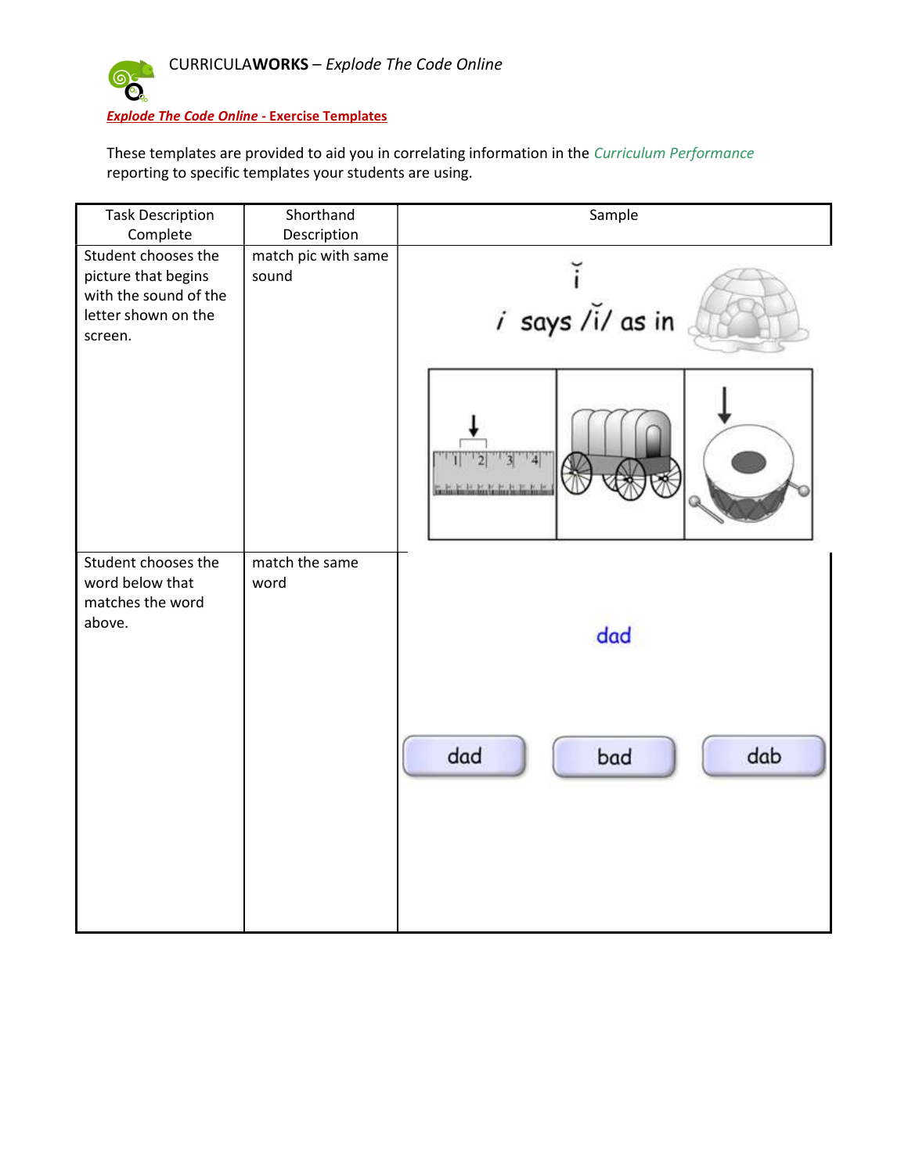

These templates are provided to aid you in correlating information in the Curriculum Performance reporting to specific templates your students are using.

| <b>Task Description</b><br>Complete                                                                   | Shorthand<br>Description     | Sample            |
|-------------------------------------------------------------------------------------------------------|------------------------------|-------------------|
| Student chooses the<br>picture that begins<br>with the sound of the<br>letter shown on the<br>screen. | match pic with same<br>sound | i says /i/ as in  |
|                                                                                                       |                              | 4                 |
| Student chooses the<br>word below that<br>matches the word<br>above.                                  | match the same<br>word       | dad               |
|                                                                                                       |                              | dad<br>dab<br>bad |
|                                                                                                       |                              |                   |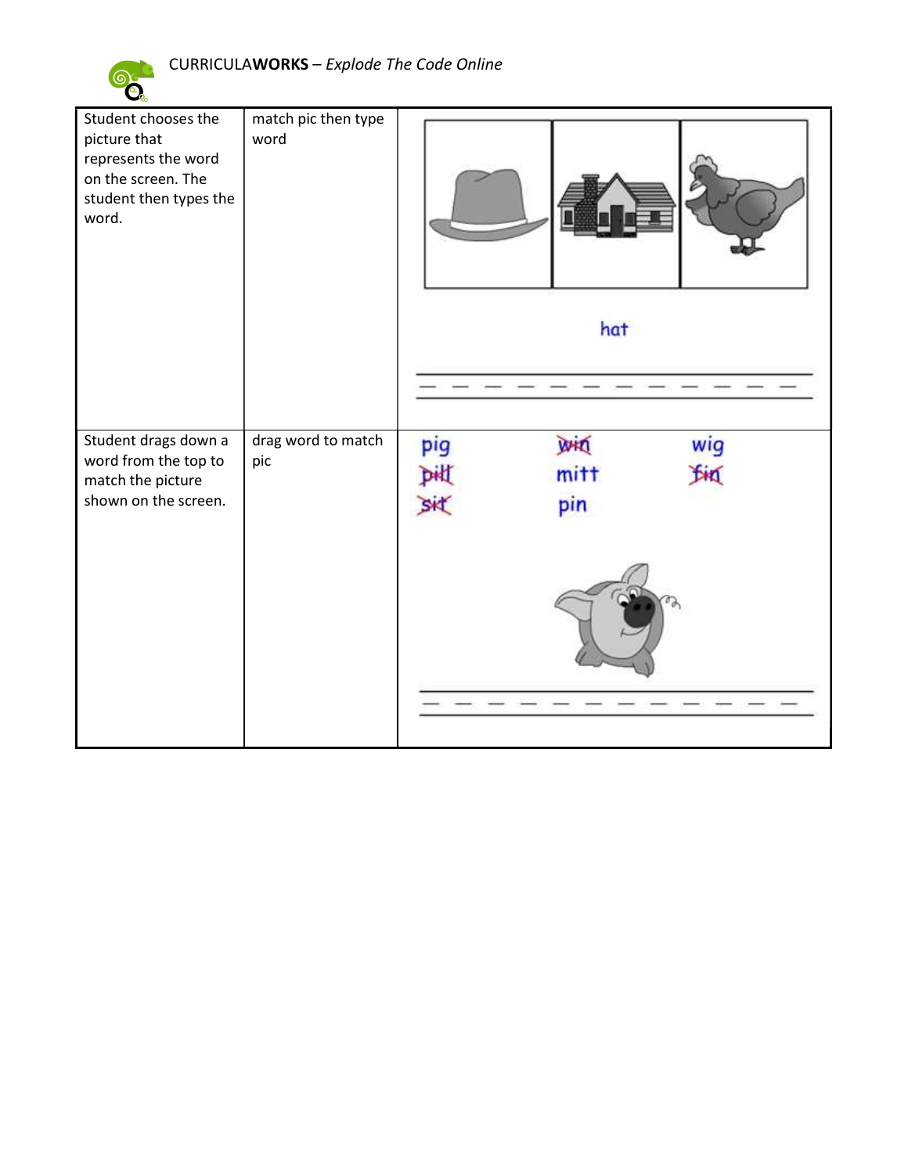

| Student chooses the<br>picture that<br>represents the word<br>on the screen. The<br>student then types the<br>word. | match pic then type<br>word |                  | hat                       |           |
|---------------------------------------------------------------------------------------------------------------------|-----------------------------|------------------|---------------------------|-----------|
| Student drags down a<br>word from the top to<br>match the picture<br>shown on the screen.                           | drag word to match<br>pic   | pig<br>DHI<br>SK | <b>WHO</b><br>mitt<br>pin | wig<br>In |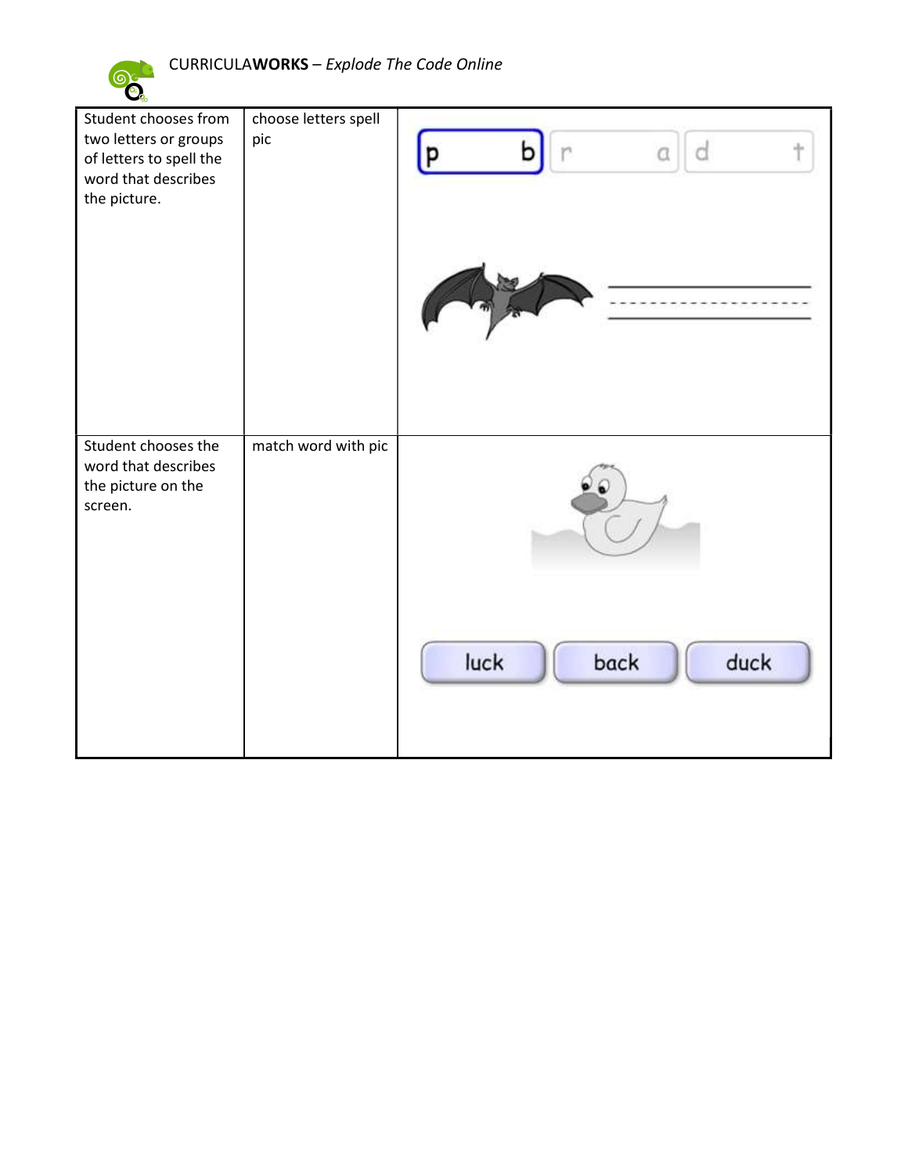

| Student chooses from<br>two letters or groups<br>of letters to spell the<br>word that describes<br>the picture. | choose letters spell<br>pic | d<br>a<br>p          |
|-----------------------------------------------------------------------------------------------------------------|-----------------------------|----------------------|
| Student chooses the<br>word that describes<br>the picture on the<br>screen.                                     | match word with pic         |                      |
|                                                                                                                 |                             | luck<br>duck<br>back |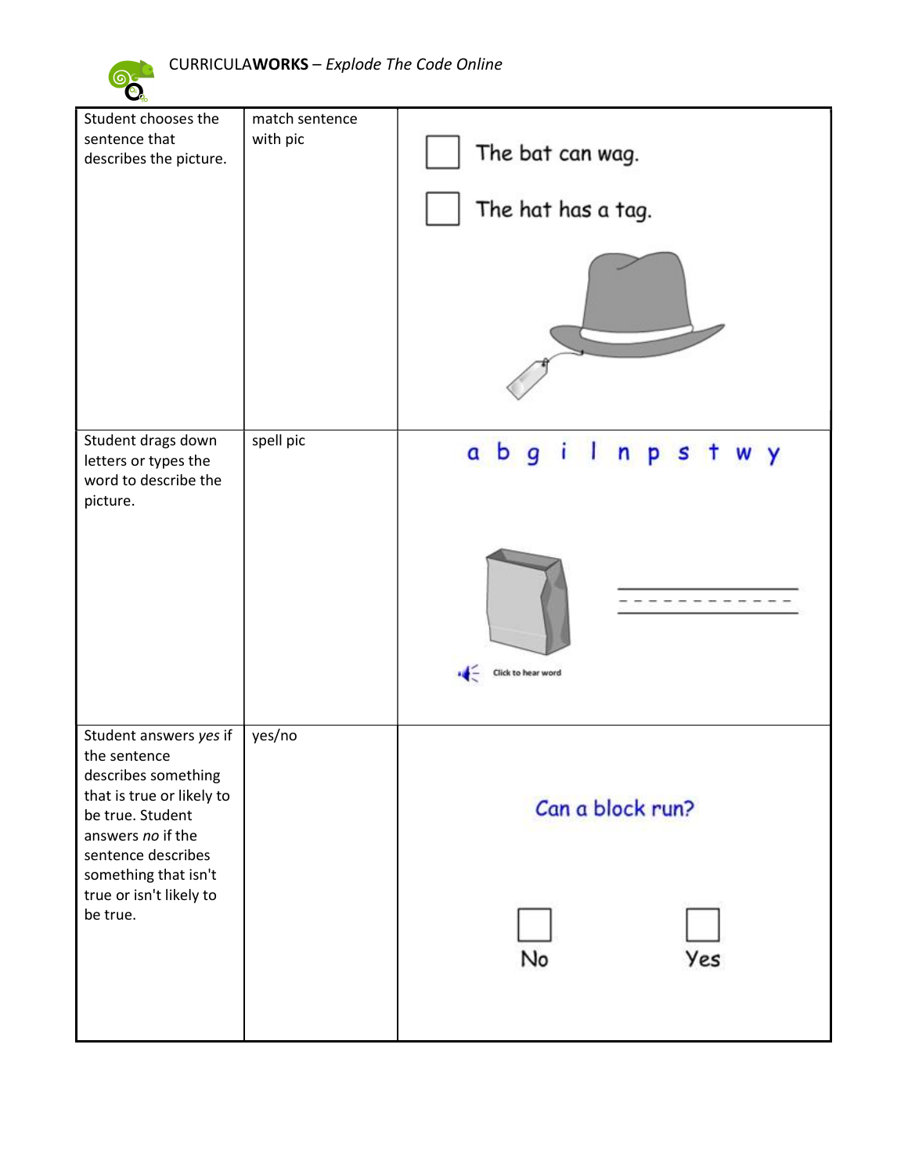

| Student chooses the<br>sentence that<br>describes the picture.                                                                                                                    | match sentence<br>with pic | The bat can wag.                   |
|-----------------------------------------------------------------------------------------------------------------------------------------------------------------------------------|----------------------------|------------------------------------|
|                                                                                                                                                                                   |                            | The hat has a tag.                 |
|                                                                                                                                                                                   |                            |                                    |
| Student drags down<br>letters or types the<br>word to describe the<br>picture.                                                                                                    | spell pic                  | abgilnpst<br>W Y                   |
|                                                                                                                                                                                   |                            | Click to hear word<br>$\leftarrow$ |
| Student answers yes if<br>the sentence<br>describes something<br>that is true or likely to<br>be true. Student<br>answers no if the<br>sentence describes<br>something that isn't | yes/no                     | Can a block run?                   |
| true or isn't likely to<br>be true.                                                                                                                                               |                            | Yes<br>No                          |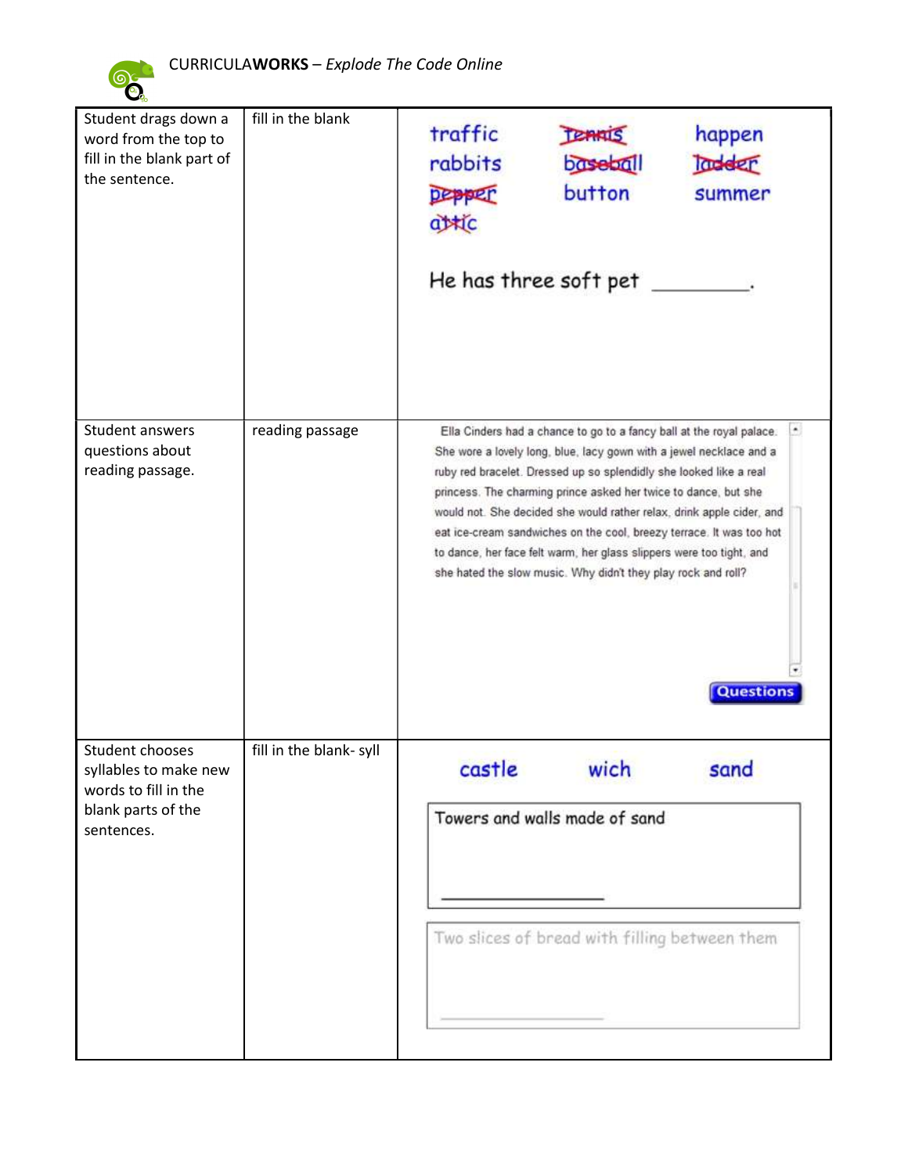

 $\bullet$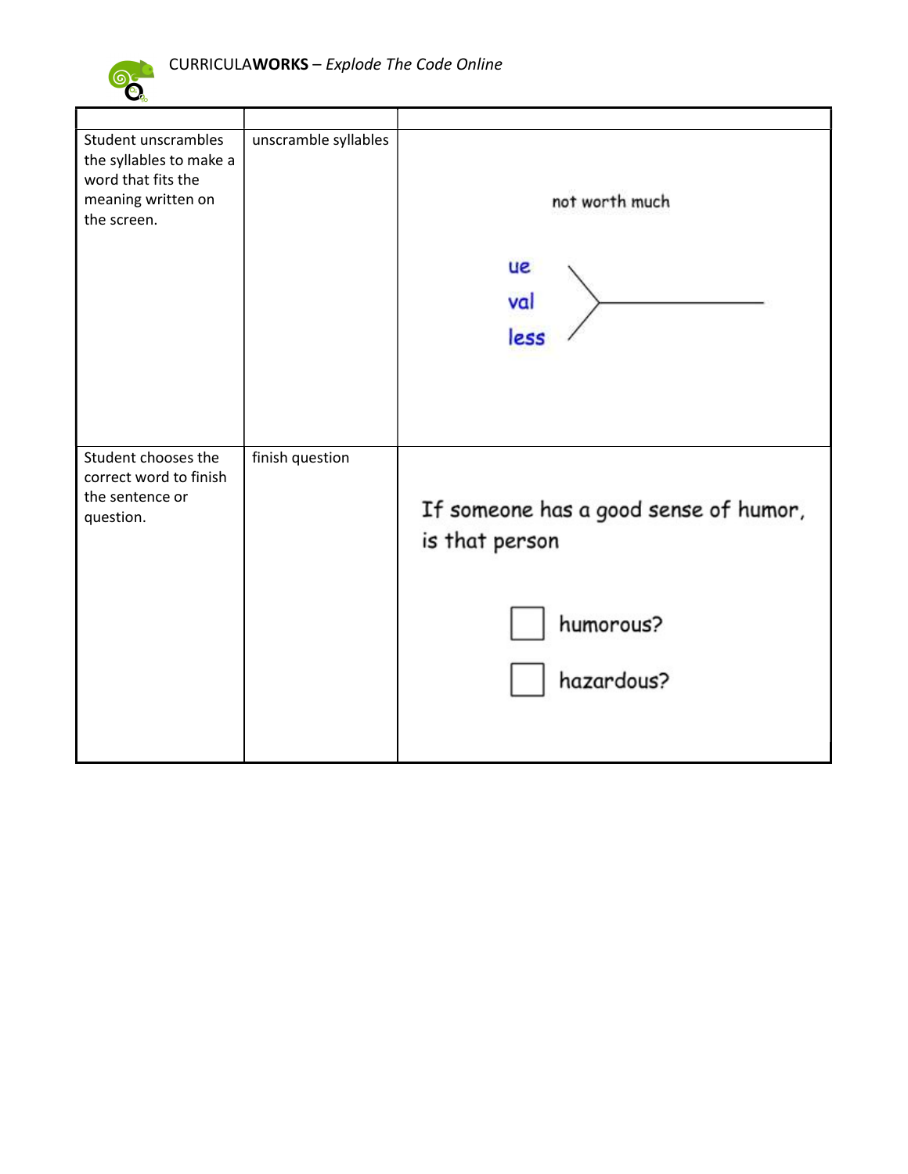

| Student unscrambles<br>the syllables to make a<br>word that fits the<br>meaning written on<br>the screen. | unscramble syllables | not worth much<br><b>ue</b><br>val<br>less                                         |
|-----------------------------------------------------------------------------------------------------------|----------------------|------------------------------------------------------------------------------------|
| Student chooses the<br>correct word to finish<br>the sentence or<br>question.                             | finish question      | If someone has a good sense of humor,<br>is that person<br>humorous?<br>hazardous? |